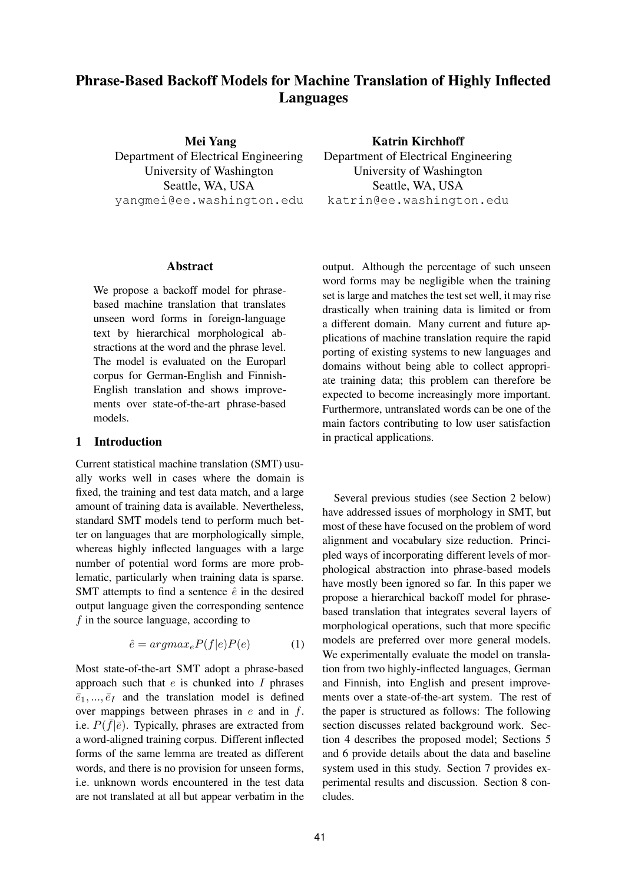# **Phrase-Based Backoff Models for Machine Translation of Highly Inflected Languages**

**Mei Yang** Department of Electrical Engineering University of Washington Seattle, WA, USA yangmei@ee.washington.edu

#### **Abstract**

We propose a backoff model for phrasebased machine translation that translates unseen word forms in foreign-language text by hierarchical morphological abstractions at the word and the phrase level. The model is evaluated on the Europarl corpus for German-English and Finnish-English translation and shows improvements over state-of-the-art phrase-based models.

#### **1 Introduction**

Current statistical machine translation (SMT) usually works well in cases where the domain is fixed, the training and test data match, and a large amount of training data is available. Nevertheless, standard SMT models tend to perform much better on languages that are morphologically simple, whereas highly inflected languages with a large number of potential word forms are more problematic, particularly when training data is sparse. SMT attempts to find a sentence  $\hat{e}$  in the desired output language given the corresponding sentence f in the source language, according to

$$
\hat{e} = argmax_{e} P(f|e)P(e) \tag{1}
$$

Most state-of-the-art SMT adopt a phrase-based approach such that  $e$  is chunked into  $I$  phrases  $\overline{e}_1, ..., \overline{e}_I$  and the translation model is defined over mappings between phrases in  $e$  and in  $f$ . i.e.  $P(\bar{f}|\bar{e})$ . Typically, phrases are extracted from a word-aligned training corpus. Different inflected forms of the same lemma are treated as different words, and there is no provision for unseen forms, i.e. unknown words encountered in the test data are not translated at all but appear verbatim in the **Katrin Kirchhoff**

Department of Electrical Engineering University of Washington Seattle, WA, USA katrin@ee.washington.edu

output. Although the percentage of such unseen word forms may be negligible when the training set is large and matches the test set well, it may rise drastically when training data is limited or from a different domain. Many current and future applications of machine translation require the rapid porting of existing systems to new languages and domains without being able to collect appropriate training data; this problem can therefore be expected to become increasingly more important. Furthermore, untranslated words can be one of the main factors contributing to low user satisfaction in practical applications.

Several previous studies (see Section 2 below) have addressed issues of morphology in SMT, but most of these have focused on the problem of word alignment and vocabulary size reduction. Principled ways of incorporating different levels of morphological abstraction into phrase-based models have mostly been ignored so far. In this paper we propose a hierarchical backoff model for phrasebased translation that integrates several layers of morphological operations, such that more specific models are preferred over more general models. We experimentally evaluate the model on translation from two highly-inflected languages, German and Finnish, into English and present improvements over a state-of-the-art system. The rest of the paper is structured as follows: The following section discusses related background work. Section 4 describes the proposed model; Sections 5 and 6 provide details about the data and baseline system used in this study. Section 7 provides experimental results and discussion. Section 8 concludes.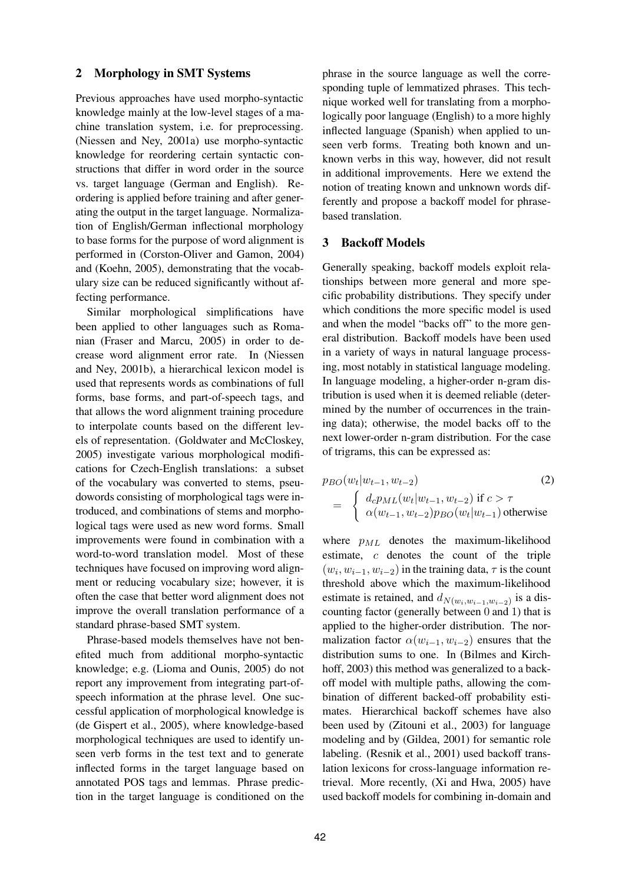## **2 Morphology in SMT Systems**

Previous approaches have used morpho-syntactic knowledge mainly at the low-level stages of a machine translation system, i.e. for preprocessing. (Niessen and Ney, 2001a) use morpho-syntactic knowledge for reordering certain syntactic constructions that differ in word order in the source vs. target language (German and English). Reordering is applied before training and after generating the output in the target language. Normalization of English/German inflectional morphology to base forms for the purpose of word alignment is performed in (Corston-Oliver and Gamon, 2004) and (Koehn, 2005), demonstrating that the vocabulary size can be reduced significantly without affecting performance.

Similar morphological simplifications have been applied to other languages such as Romanian (Fraser and Marcu, 2005) in order to decrease word alignment error rate. In (Niessen and Ney, 2001b), a hierarchical lexicon model is used that represents words as combinations of full forms, base forms, and part-of-speech tags, and that allows the word alignment training procedure to interpolate counts based on the different levels of representation. (Goldwater and McCloskey, 2005) investigate various morphological modifications for Czech-English translations: a subset of the vocabulary was converted to stems, pseudowords consisting of morphological tags were introduced, and combinations of stems and morphological tags were used as new word forms. Small improvements were found in combination with a word-to-word translation model. Most of these techniques have focused on improving word alignment or reducing vocabulary size; however, it is often the case that better word alignment does not improve the overall translation performance of a standard phrase-based SMT system.

Phrase-based models themselves have not benefited much from additional morpho-syntactic knowledge; e.g. (Lioma and Ounis, 2005) do not report any improvement from integrating part-ofspeech information at the phrase level. One successful application of morphological knowledge is (de Gispert et al., 2005), where knowledge-based morphological techniques are used to identify unseen verb forms in the test text and to generate inflected forms in the target language based on annotated POS tags and lemmas. Phrase prediction in the target language is conditioned on the phrase in the source language as well the corresponding tuple of lemmatized phrases. This technique worked well for translating from a morphologically poor language (English) to a more highly inflected language (Spanish) when applied to unseen verb forms. Treating both known and unknown verbs in this way, however, did not result in additional improvements. Here we extend the notion of treating known and unknown words differently and propose a backoff model for phrasebased translation.

## **3 Backoff Models**

Generally speaking, backoff models exploit relationships between more general and more specific probability distributions. They specify under which conditions the more specific model is used and when the model "backs off" to the more general distribution. Backoff models have been used in a variety of ways in natural language processing, most notably in statistical language modeling. In language modeling, a higher-order n-gram distribution is used when it is deemed reliable (determined by the number of occurrences in the training data); otherwise, the model backs off to the next lower-order n-gram distribution. For the case of trigrams, this can be expressed as:

$$
p_{BO}(w_t|w_{t-1}, w_{t-2})
$$
\n
$$
= \begin{cases} d_{c}p_{ML}(w_t|w_{t-1}, w_{t-2}) \text{ if } c > \tau \\ \alpha(w_{t-1}, w_{t-2})p_{BO}(w_t|w_{t-1}) \text{ otherwise} \end{cases}
$$
\n(2)

where  $p_{ML}$  denotes the maximum-likelihood estimate, c denotes the count of the triple  $(w_i, w_{i-1}, w_{i-2})$  in the training data,  $\tau$  is the count threshold above which the maximum-likelihood estimate is retained, and  $d_{N(w_i,w_{i-1},w_{i-2})}$  is a discounting factor (generally between 0 and 1) that is applied to the higher-order distribution. The normalization factor  $\alpha(w_{i-1}, w_{i-2})$  ensures that the distribution sums to one. In (Bilmes and Kirchhoff, 2003) this method was generalized to a backoff model with multiple paths, allowing the combination of different backed-off probability estimates. Hierarchical backoff schemes have also been used by (Zitouni et al., 2003) for language modeling and by (Gildea, 2001) for semantic role labeling. (Resnik et al., 2001) used backoff translation lexicons for cross-language information retrieval. More recently, (Xi and Hwa, 2005) have used backoff models for combining in-domain and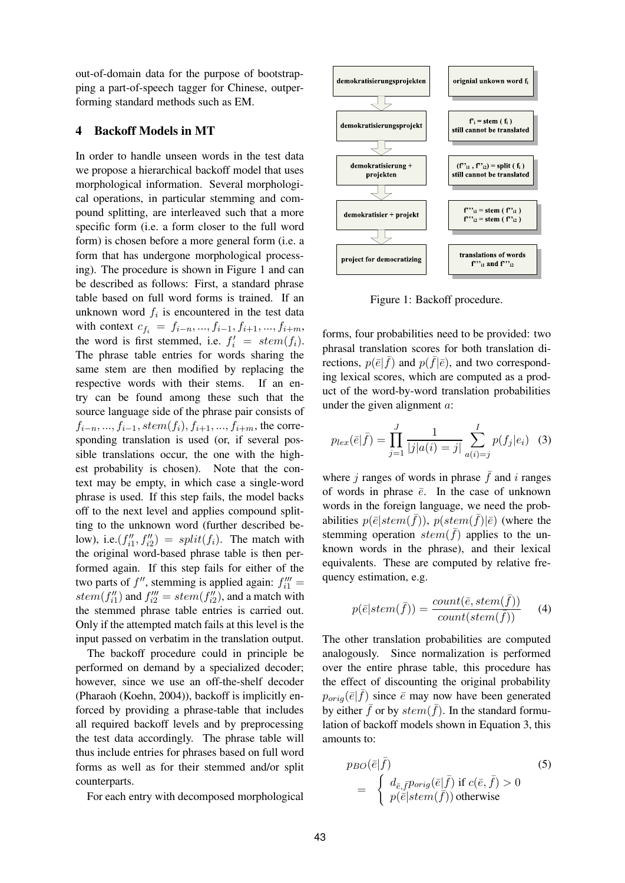out-of-domain data for the purpose of bootstrapping a part-of-speech tagger for Chinese, outperforming standard methods such as EM.

## **4 Backoff Models in MT**

In order to handle unseen words in the test data we propose a hierarchical backoff model that uses morphological information. Several morphological operations, in particular stemming and compound splitting, are interleaved such that a more specific form (i.e. a form closer to the full word form) is chosen before a more general form (i.e. a form that has undergone morphological processing). The procedure is shown in Figure 1 and can be described as follows: First, a standard phrase table based on full word forms is trained. If an unknown word  $f_i$  is encountered in the test data with context  $c_{f_i} = f_{i-n},..., f_{i-1}, f_{i+1},..., f_{i+m}$ , the word is first stemmed, i.e.  $f'_i = stem(f_i)$ . The phrase table entries for words sharing the same stem are then modified by replacing the respective words with their stems. If an entry can be found among these such that the source language side of the phrase pair consists of  $f_{i-n},..., f_{i-1}, stem(f_i), f_{i+1},..., f_{i+m}$ , the corresponding translation is used (or, if several possible translations occur, the one with the highest probability is chosen). Note that the context may be empty, in which case a single-word phrase is used. If this step fails, the model backs off to the next level and applies compound splitting to the unknown word (further described below), i.e.( $f''_{i1}$  $i''_i, f''_i = split(f_i)$ . The match with the original word-based phrase table is then performed again. If this step fails for either of the two parts of  $f''$ , stemming is applied again:  $f''_{i1}$  =  $stem(f''_{i1})$  $f''_{i1}$ ) and  $f'''_{i2} = stem(f''_{i2})$  $\binom{n}{i2}$ , and a match with the stemmed phrase table entries is carried out. Only if the attempted match fails at this level is the input passed on verbatim in the translation output.

The backoff procedure could in principle be performed on demand by a specialized decoder; however, since we use an off-the-shelf decoder (Pharaoh (Koehn, 2004)), backoff is implicitly enforced by providing a phrase-table that includes all required backoff levels and by preprocessing the test data accordingly. The phrase table will thus include entries for phrases based on full word forms as well as for their stemmed and/or split counterparts.

For each entry with decomposed morphological



Figure 1: Backoff procedure.

forms, four probabilities need to be provided: two phrasal translation scores for both translation directions,  $p(\bar{e}|\bar{f})$  and  $p(\bar{f}|\bar{e})$ , and two corresponding lexical scores, which are computed as a product of the word-by-word translation probabilities under the given alignment a:

$$
p_{lex}(\bar{e}|\bar{f}) = \prod_{j=1}^{J} \frac{1}{|j|a(i) = j|} \sum_{a(i) = j}^{I} p(f_j|e_i) \quad (3)
$$

where *j* ranges of words in phrase  $\bar{f}$  and *i* ranges of words in phrase  $\overline{e}$ . In the case of unknown words in the foreign language, we need the probabilities  $p(\bar{e}|stem(\bar{f})), p(stem(\bar{f})|\bar{e})$  (where the stemming operation  $stem(\bar{f})$  applies to the unknown words in the phrase), and their lexical equivalents. These are computed by relative frequency estimation, e.g.

$$
p(\bar{e}|stem(\bar{f})) = \frac{count(\bar{e},stem(\bar{f}))}{count(stem(\bar{f}))}
$$
 (4)

The other translation probabilities are computed analogously. Since normalization is performed over the entire phrase table, this procedure has the effect of discounting the original probability  $p_{orig}(\bar{e}|\bar{f})$  since  $\bar{e}$  may now have been generated by either  $\bar{f}$  or by  $stem(\bar{f})$ . In the standard formulation of backoff models shown in Equation 3, this amounts to:

$$
p_{BO}(\bar{e}|\bar{f})
$$
\n
$$
= \begin{cases} d_{\bar{e},\bar{f}} p_{orig}(\bar{e}|\bar{f}) \text{ if } c(\bar{e},\bar{f}) > 0\\ p(\bar{e}|stem(\bar{f})) \text{ otherwise} \end{cases}
$$
\n(5)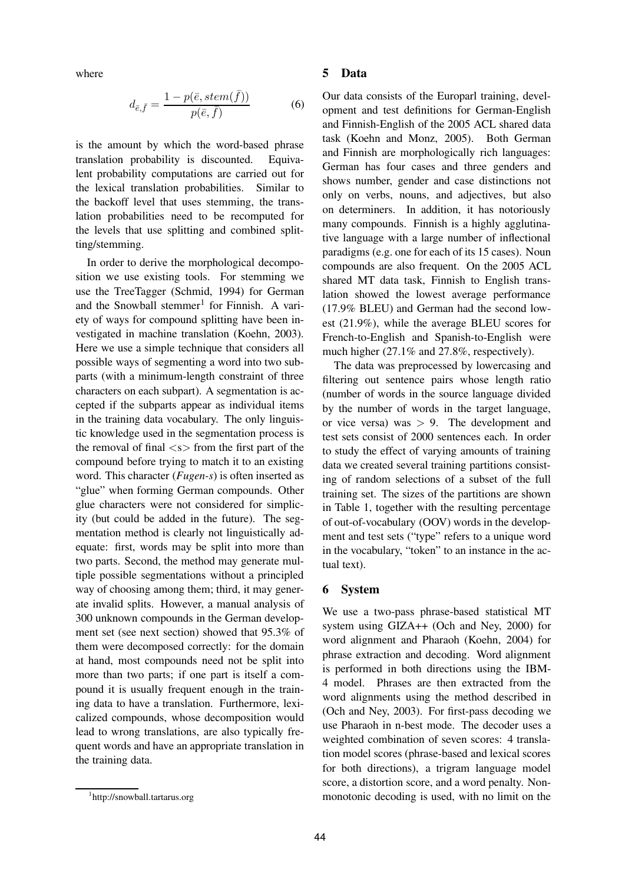where

$$
d_{\bar{e},\bar{f}} = \frac{1 - p(\bar{e}, stem(\bar{f}))}{p(\bar{e}, \bar{f})}
$$
(6)

is the amount by which the word-based phrase translation probability is discounted. Equivalent probability computations are carried out for the lexical translation probabilities. Similar to the backoff level that uses stemming, the translation probabilities need to be recomputed for the levels that use splitting and combined splitting/stemming.

In order to derive the morphological decomposition we use existing tools. For stemming we use the TreeTagger (Schmid, 1994) for German and the Snowball stemmer<sup>1</sup> for Finnish. A variety of ways for compound splitting have been investigated in machine translation (Koehn, 2003). Here we use a simple technique that considers all possible ways of segmenting a word into two subparts (with a minimum-length constraint of three characters on each subpart). A segmentation is accepted if the subparts appear as individual items in the training data vocabulary. The only linguistic knowledge used in the segmentation process is the removal of final  $\langle s \rangle$  from the first part of the compound before trying to match it to an existing word. This character (*Fugen-s*) is often inserted as "glue" when forming German compounds. Other glue characters were not considered for simplicity (but could be added in the future). The segmentation method is clearly not linguistically adequate: first, words may be split into more than two parts. Second, the method may generate multiple possible segmentations without a principled way of choosing among them; third, it may generate invalid splits. However, a manual analysis of 300 unknown compounds in the German development set (see next section) showed that 95.3% of them were decomposed correctly: for the domain at hand, most compounds need not be split into more than two parts; if one part is itself a compound it is usually frequent enough in the training data to have a translation. Furthermore, lexicalized compounds, whose decomposition would lead to wrong translations, are also typically frequent words and have an appropriate translation in the training data.

#### **5 Data**

Our data consists of the Europarl training, development and test definitions for German-English and Finnish-English of the 2005 ACL shared data task (Koehn and Monz, 2005). Both German and Finnish are morphologically rich languages: German has four cases and three genders and shows number, gender and case distinctions not only on verbs, nouns, and adjectives, but also on determiners. In addition, it has notoriously many compounds. Finnish is a highly agglutinative language with a large number of inflectional paradigms (e.g. one for each of its 15 cases). Noun compounds are also frequent. On the 2005 ACL shared MT data task, Finnish to English translation showed the lowest average performance (17.9% BLEU) and German had the second lowest (21.9%), while the average BLEU scores for French-to-English and Spanish-to-English were much higher (27.1% and 27.8%, respectively).

The data was preprocessed by lowercasing and filtering out sentence pairs whose length ratio (number of words in the source language divided by the number of words in the target language, or vice versa) was  $> 9$ . The development and test sets consist of 2000 sentences each. In order to study the effect of varying amounts of training data we created several training partitions consisting of random selections of a subset of the full training set. The sizes of the partitions are shown in Table 1, together with the resulting percentage of out-of-vocabulary (OOV) words in the development and test sets ("type" refers to a unique word in the vocabulary, "token" to an instance in the actual text).

#### **6 System**

We use a two-pass phrase-based statistical MT system using GIZA++ (Och and Ney, 2000) for word alignment and Pharaoh (Koehn, 2004) for phrase extraction and decoding. Word alignment is performed in both directions using the IBM-4 model. Phrases are then extracted from the word alignments using the method described in (Och and Ney, 2003). For first-pass decoding we use Pharaoh in n-best mode. The decoder uses a weighted combination of seven scores: 4 translation model scores (phrase-based and lexical scores for both directions), a trigram language model score, a distortion score, and a word penalty. Nonmonotonic decoding is used, with no limit on the

<sup>1</sup> http://snowball.tartarus.org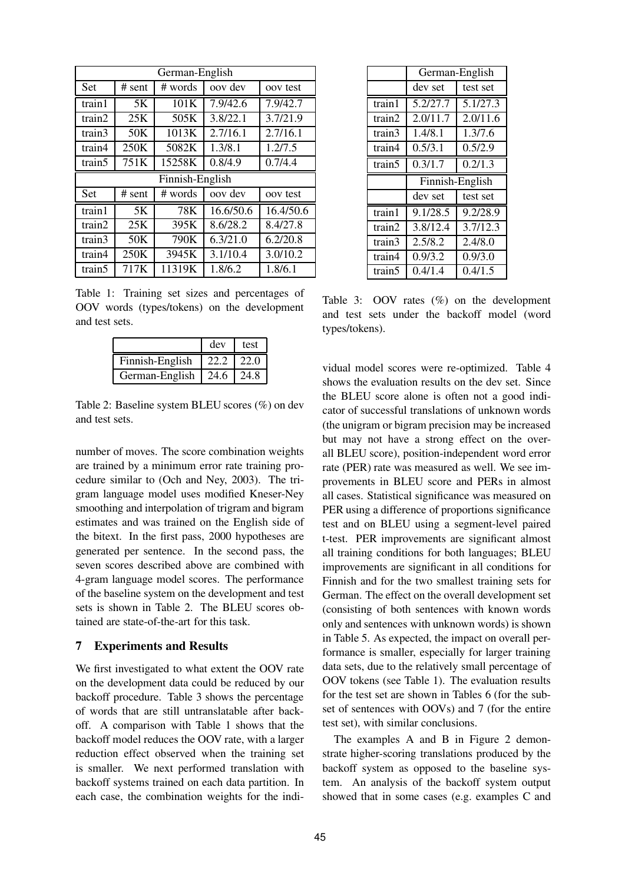| German-English  |          |         |           |           |
|-----------------|----------|---------|-----------|-----------|
| <b>Set</b>      | $#$ sent | # words | oov dev   | oov test  |
| train1          | 5K       | 101K    | 7.9/42.6  | 7.9/42.7  |
| train2          | 25K      | 505K    | 3.8/22.1  | 3.7/21.9  |
| train3          | 50K      | 1013K   | 2.7/16.1  | 2.7/16.1  |
| train4          | 250K     | 5082K   | 1.3/8.1   | 1.2/7.5   |
| train5          | 751K     | 15258K  | 0.8/4.9   | 0.7/4.4   |
| Finnish-English |          |         |           |           |
|                 |          |         |           |           |
| <b>Set</b>      | $#$ sent | # words | oov dev   | oov test  |
| train1          | 5K       | 78K     | 16.6/50.6 | 16.4/50.6 |
| train2          | 25K      | 395K    | 8.6/28.2  | 8.4/27.8  |
| train3          | 50K      | 790K    | 6.3/21.0  | 6.2/20.8  |
| train4          | 250K     | 3945K   | 3.1/10.4  | 3.0/10.2  |

Table 1: Training set sizes and percentages of OOV words (types/tokens) on the development and test sets.

|                 | dev  | test  |
|-----------------|------|-------|
| Finnish-English | 22.2 | 122.0 |
| German-English  | 24.6 | 24.8  |

Table 2: Baseline system BLEU scores (%) on dev and test sets.

number of moves. The score combination weights are trained by a minimum error rate training procedure similar to (Och and Ney, 2003). The trigram language model uses modified Kneser-Ney smoothing and interpolation of trigram and bigram estimates and was trained on the English side of the bitext. In the first pass, 2000 hypotheses are generated per sentence. In the second pass, the seven scores described above are combined with 4-gram language model scores. The performance of the baseline system on the development and test sets is shown in Table 2. The BLEU scores obtained are state-of-the-art for this task.

#### **7 Experiments and Results**

We first investigated to what extent the OOV rate on the development data could be reduced by our backoff procedure. Table 3 shows the percentage of words that are still untranslatable after backoff. A comparison with Table 1 shows that the backoff model reduces the OOV rate, with a larger reduction effect observed when the training set is smaller. We next performed translation with backoff systems trained on each data partition. In each case, the combination weights for the indi-

|        | German-English  |          |  |
|--------|-----------------|----------|--|
|        | dev set         | test set |  |
| train1 | 5.2/27.7        | 5.1/27.3 |  |
| train2 | 2.0/11.7        | 2.0/11.6 |  |
| train3 | 1.4/8.1         | 1.3/7.6  |  |
| train4 | 0.5/3.1         | 0.5/2.9  |  |
| train5 | 0.3/1.7         | 0.2/1.3  |  |
|        |                 |          |  |
|        | Finnish-English |          |  |
|        | dev set         | test set |  |
| train1 | 9.1/28.5        | 9.2/28.9 |  |
| train2 | 3.8/12.4        | 3.7/12.3 |  |
| train3 | 2.5/8.2         | 2.4/8.0  |  |
| train4 | 0.9/3.2         | 0.9/3.0  |  |

Table 3: OOV rates (%) on the development and test sets under the backoff model (word types/tokens).

vidual model scores were re-optimized. Table 4 shows the evaluation results on the dev set. Since the BLEU score alone is often not a good indicator of successful translations of unknown words (the unigram or bigram precision may be increased but may not have a strong effect on the overall BLEU score), position-independent word error rate (PER) rate was measured as well. We see improvements in BLEU score and PERs in almost all cases. Statistical significance was measured on PER using a difference of proportions significance test and on BLEU using a segment-level paired t-test. PER improvements are significant almost all training conditions for both languages; BLEU improvements are significant in all conditions for Finnish and for the two smallest training sets for German. The effect on the overall development set (consisting of both sentences with known words only and sentences with unknown words) is shown in Table 5. As expected, the impact on overall performance is smaller, especially for larger training data sets, due to the relatively small percentage of OOV tokens (see Table 1). The evaluation results for the test set are shown in Tables 6 (for the subset of sentences with OOVs) and 7 (for the entire test set), with similar conclusions.

The examples A and B in Figure 2 demonstrate higher-scoring translations produced by the backoff system as opposed to the baseline system. An analysis of the backoff system output showed that in some cases (e.g. examples C and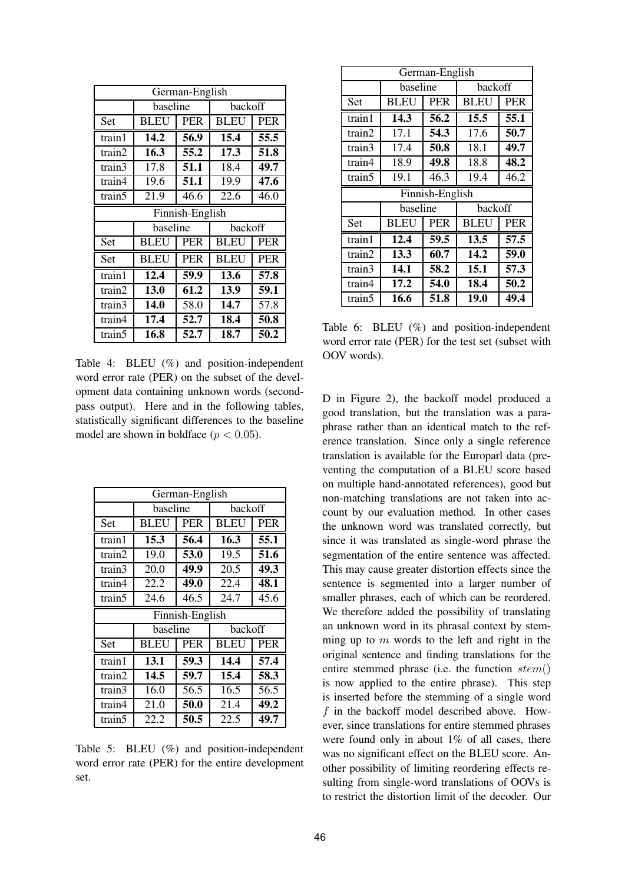| German-English |             |                 |             |            |  |
|----------------|-------------|-----------------|-------------|------------|--|
|                | baseline    |                 | backoff     |            |  |
| Set            | <b>BLEU</b> | <b>PER</b>      | <b>BLEU</b> | <b>PER</b> |  |
| train1         | 14.2        | 56.9            | 15.4        | 55.5       |  |
| train2         | 16.3        | 55.2            | 17.3        | 51.8       |  |
| train3         | 17.8        | 51.1            | 18.4        | 49.7       |  |
| train4         | 19.6        | 51.1            | 19.9        | 47.6       |  |
| train5         | 21.9        | 46.6            | 22.6        | 46.0       |  |
|                |             | Finnish-English |             |            |  |
|                | baseline    |                 | backoff     |            |  |
| Set            | <b>BLEU</b> | <b>PER</b>      | <b>BLEU</b> | <b>PER</b> |  |
| Set            | BLEU        | <b>PER</b>      | <b>BLEU</b> | <b>PER</b> |  |
| train1         | 12.4        | 59.9            | 13.6        | 57.8       |  |
| train2         | 13.0        | 61.2            | 13.9        | 59.1       |  |
| train3         | 14.0        | 58.0            | 14.7        | 57.8       |  |
| train4         | 17.4        | 52.7            | 18.4        | 50.8       |  |
| train5         | 16.8        | 52.7            | 18.7        | 50.2       |  |

Table 4: BLEU (%) and position-independent word error rate (PER) on the subset of the development data containing unknown words (secondpass output). Here and in the following tables, statistically significant differences to the baseline model are shown in boldface ( $p < 0.05$ ).

|        |             | German-English  |                   |                   |
|--------|-------------|-----------------|-------------------|-------------------|
|        | baseline    |                 | backoff           |                   |
| Set    | <b>BLEU</b> | <b>PER</b>      | <b>BLEU</b>       | <b>PER</b>        |
| train1 | 15.3        | 56.4            | $16.\overline{3}$ | $\overline{55.1}$ |
| train2 | 19.0        | 53.0            | 19.5              | 51.6              |
| train3 | 20.0        | 49.9            | 20.5              | 49.3              |
| train4 | 22.2        | 49.0            | 22.4              | 48.1              |
| train5 | 24.6        | 46.5            | 24.7              | 45.6              |
|        |             | Finnish-English |                   |                   |
|        | baseline    |                 | backoff           |                   |
| Set    | <b>BLEU</b> | <b>PER</b>      | <b>BLEU</b>       | <b>PER</b>        |
| train1 | 13.1        | 59.3            | 14.4              | 57.4              |
| train2 | 14.5        | 59.7            | 15.4              | 58.3              |
| train3 | 16.0        | 56.5            | 16.5              | 56.5              |
| train4 | 21.0        | 50.0            | 21.4              | 49.2              |
| train5 | 22.2        | 50.5            | 22.5              | 49.7              |

Table 5: BLEU (%) and position-independent word error rate (PER) for the entire development set.

|        |             | German-English  |             |            |
|--------|-------------|-----------------|-------------|------------|
|        | baseline    |                 | backoff     |            |
| Set    | <b>BLEU</b> | <b>PER</b>      | <b>BLEU</b> | <b>PER</b> |
| train1 | 14.3        | 56.2            | 15.5        | 55.1       |
| train2 | 17.1        | 54.3            | 17.6        | 50.7       |
| train3 | 17.4        | 50.8            | 18.1        | 49.7       |
| train4 | 18.9        | 49.8            | 18.8        | 48.2       |
| train5 | 19.1        | 46.3            | 19.4        | 46.2       |
|        |             | Finnish-English |             |            |
|        |             |                 |             |            |
|        | baseline    |                 | backoff     |            |
| Set    | <b>BLEU</b> | <b>PER</b>      | <b>BLEU</b> | <b>PER</b> |
| train1 | 12.4        | 59.5            | 13.5        | 57.5       |
| train2 | 13.3        | 60.7            | 14.2        | 59.0       |
| train3 | 14.1        | 58.2            | 15.1        | 57.3       |
| train4 | 17.2        | 54.0            | 18.4        | 50.2       |

Table 6: BLEU (%) and position-independent word error rate (PER) for the test set (subset with OOV words).

D in Figure 2), the backoff model produced a good translation, but the translation was a paraphrase rather than an identical match to the reference translation. Since only a single reference translation is available for the Europarl data (preventing the computation of a BLEU score based on multiple hand-annotated references), good but non-matching translations are not taken into account by our evaluation method. In other cases the unknown word was translated correctly, but since it was translated as single-word phrase the segmentation of the entire sentence was affected. This may cause greater distortion effects since the sentence is segmented into a larger number of smaller phrases, each of which can be reordered. We therefore added the possibility of translating an unknown word in its phrasal context by stemming up to  $m$  words to the left and right in the original sentence and finding translations for the entire stemmed phrase (i.e. the function  $stem()$ is now applied to the entire phrase). This step is inserted before the stemming of a single word f in the backoff model described above. However, since translations for entire stemmed phrases were found only in about 1% of all cases, there was no significant effect on the BLEU score. Another possibility of limiting reordering effects resulting from single-word translations of OOVs is to restrict the distortion limit of the decoder. Our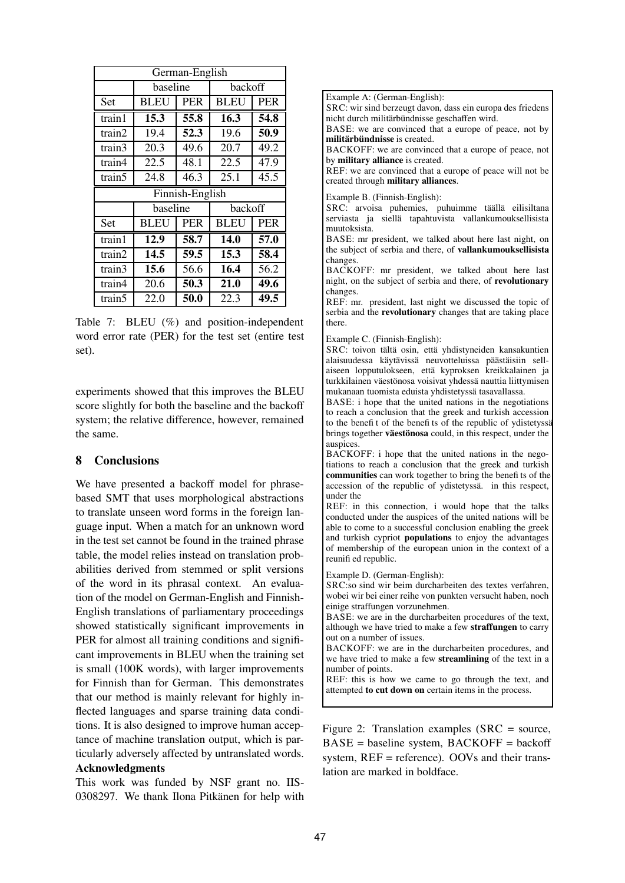| German-English  |             |            |             |            |  |
|-----------------|-------------|------------|-------------|------------|--|
|                 | baseline    |            | backoff     |            |  |
| Set             | <b>BLEU</b> | <b>PER</b> | <b>BLEU</b> | <b>PER</b> |  |
| train1          | 15.3        | 55.8       | 16.3        | 54.8       |  |
| train2          | 19.4        | 52.3       | 19.6        | 50.9       |  |
| train3          | 20.3        | 49.6       | 20.7        | 49.2       |  |
| train4          | 22.5        | 48.1       | 22.5        | 47.9       |  |
| train5          | 24.8        | 46.3       | 25.1        | 45.5       |  |
| Finnish-English |             |            |             |            |  |
|                 |             |            |             |            |  |
|                 | baseline    |            | backoff     |            |  |
| Set             | BLEU        | <b>PER</b> | <b>BLEU</b> | <b>PER</b> |  |
| train1          | 12.9        | 58.7       | 14.0        | 57.0       |  |
| train2          | 14.5        | 59.5       | 15.3        | 58.4       |  |
| train3          | 15.6        | 56.6       | 16.4        | 56.2       |  |
| train4          | 20.6        | 50.3       | 21.0        | 49.6       |  |

Table 7: BLEU (%) and position-independent word error rate (PER) for the test set (entire test set).

experiments showed that this improves the BLEU score slightly for both the baseline and the backoff system; the relative difference, however, remained the same.

## **8 Conclusions**

We have presented a backoff model for phrasebased SMT that uses morphological abstractions to translate unseen word forms in the foreign language input. When a match for an unknown word in the test set cannot be found in the trained phrase table, the model relies instead on translation probabilities derived from stemmed or split versions of the word in its phrasal context. An evaluation of the model on German-English and Finnish-English translations of parliamentary proceedings showed statistically significant improvements in PER for almost all training conditions and significant improvements in BLEU when the training set is small (100K words), with larger improvements for Finnish than for German. This demonstrates that our method is mainly relevant for highly inflected languages and sparse training data conditions. It is also designed to improve human acceptance of machine translation output, which is particularly adversely affected by untranslated words.

### **Acknowledgments**

This work was funded by NSF grant no. IIS-0308297. We thank Ilona Pitkänen for help with

Example A: (German-English): SRC: wir sind berzeugt davon, dass ein europa des friedens nicht durch militärbündnisse geschaffen wird. BASE: we are convinced that a europe of peace, not by **militärbündnisse** is created. BACKOFF: we are convinced that a europe of peace, not by **military alliance** is created. REF: we are convinced that a europe of peace will not be created through **military alliances**. Example B. (Finnish-English): SRC: arvoisa puhemies, puhuimme täällä eilisiltana serviasta ja siellä tapahtuvista vallankumouksellisista muutoksista. BASE: mr president, we talked about here last night, on the subject of serbia and there, of **vallankumouksellisista** changes. BACKOFF: mr president, we talked about here last night, on the subject of serbia and there, of **revolutionary** changes. REF: mr. president, last night we discussed the topic of serbia and the **revolutionary** changes that are taking place there. Example C. (Finnish-English): SRC: toivon tältä osin, että yhdistyneiden kansakuntien alaisuudessa käytävissä neuvotteluissa päästäisiin sellaiseen lopputulokseen, että kyproksen kreikkalainen ja turkkilainen väestönosa voisivat yhdessä nauttia liittymisen mukanaan tuomista eduista yhdistetyssä tasavallassa. BASE: i hope that the united nations in the negotiations to reach a conclusion that the greek and turkish accession to the benefit of the benefits of the republic of ydistetyssi brings together **vaestonosa** could, in this respect, under the auspices. BACKOFF: i hope that the united nations in the negotiations to reach a conclusion that the greek and turkish **communities** can work together to bring the benefi ts of the accession of the republic of ydistetyssä. in this respect, under the REF: in this connection, i would hope that the talks conducted under the auspices of the united nations will be able to come to a successful conclusion enabling the greek and turkish cypriot **populations** to enjoy the advantages of membership of the european union in the context of a reunifi ed republic. Example D. (German-English): SRC:so sind wir beim durcharbeiten des textes verfahren, wobei wir bei einer reihe von punkten versucht haben, noch einige straffungen vorzunehmen.

BASE: we are in the durcharbeiten procedures of the text, although we have tried to make a few **straffungen** to carry out on a number of issues.

BACKOFF: we are in the durcharbeiten procedures, and we have tried to make a few **streamlining** of the text in a number of points.

REF: this is how we came to go through the text, and attempted **to cut down on** certain items in the process.

Figure 2: Translation examples (SRC = source, BASE = baseline system, BACKOFF = backoff system, REF = reference). OOVs and their translation are marked in boldface.